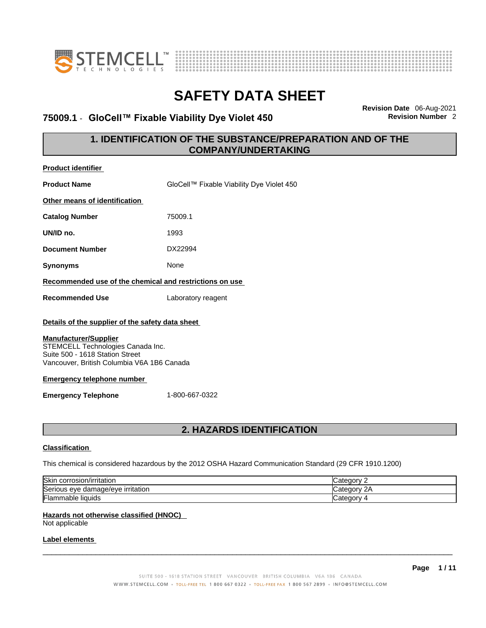



### **75009.1** - **GloCell™ Fixable Viability Dye Violet 450 Revision Number** 2

**Revision Date** 06-Aug-2021

### **1. IDENTIFICATION OF THE SUBSTANCE/PREPARATION AND OF THE COMPANY/UNDERTAKING**

| <b>Product identifier</b>                                                                                                                          |                                           |
|----------------------------------------------------------------------------------------------------------------------------------------------------|-------------------------------------------|
| <b>Product Name</b>                                                                                                                                | GloCell™ Fixable Viability Dye Violet 450 |
| Other means of identification                                                                                                                      |                                           |
| <b>Catalog Number</b>                                                                                                                              | 75009.1                                   |
| UN/ID no.                                                                                                                                          | 1993                                      |
| <b>Document Number</b>                                                                                                                             | DX22994                                   |
| <b>Synonyms</b>                                                                                                                                    | None                                      |
| Recommended use of the chemical and restrictions on use                                                                                            |                                           |
| <b>Recommended Use</b>                                                                                                                             | Laboratory reagent                        |
| Details of the supplier of the safety data sheet                                                                                                   |                                           |
| <b>Manufacturer/Supplier</b><br>STEMCELL Technologies Canada Inc.<br>Suite 500 - 1618 Station Street<br>Vancouver, British Columbia V6A 1B6 Canada |                                           |
| <b>Emergency telephone number</b>                                                                                                                  |                                           |
| <b>Emergency Telephone</b>                                                                                                                         | 1-800-667-0322                            |
|                                                                                                                                                    | 2. HAZARDS IDENTIFICATION                 |

#### **Classification**

This chemical is considered hazardous by the 2012 OSHA Hazard Communication Standard (29 CFR 1910.1200)

| Skin<br>corrosion/irritation                 | ategory.                 |
|----------------------------------------------|--------------------------|
| Seriou<br>irritation<br>damade/eve<br>us eve | `ategorv .<br>$\sqrt{2}$ |
| Flam.<br>nmable liquids                      | <i>- اس</i> ⊲tegorv      |

#### **Hazards not otherwise classified (HNOC)**

Not applicable

#### **Label elements**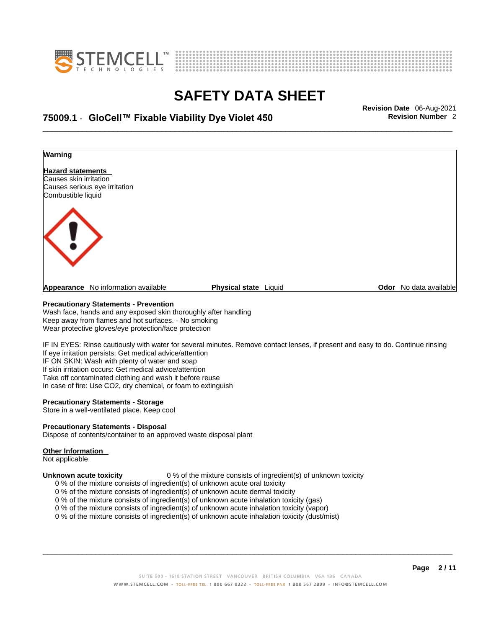



## \_\_\_\_\_\_\_\_\_\_\_\_\_\_\_\_\_\_\_\_\_\_\_\_\_\_\_\_\_\_\_\_\_\_\_\_\_\_\_\_\_\_\_\_\_\_\_\_\_\_\_\_\_\_\_\_\_\_\_\_\_\_\_\_\_\_\_\_\_\_\_\_\_\_\_\_\_\_\_\_\_\_\_\_\_\_\_\_\_\_\_\_\_ **Revision Date** 06-Aug-2021 **75009.1** - **GloCell™ Fixable Viability Dye Violet 450 Revision Number** 2



#### **Precautionary Statements - Prevention**

Wash face, hands and any exposed skin thoroughly after handling Keep away from flames and hot surfaces. - No smoking Wear protective gloves/eye protection/face protection

IF IN EYES: Rinse cautiously with water for several minutes. Remove contact lenses, if present and easy to do. Continue rinsing If eye irritation persists: Get medical advice/attention IF ON SKIN: Wash with plenty of water and soap If skin irritation occurs: Get medical advice/attention Take off contaminated clothing and wash it before reuse In case of fire: Use CO2, dry chemical, or foam to extinguish

#### **Precautionary Statements - Storage**

Store in a well-ventilated place. Keep cool

#### **Precautionary Statements - Disposal**

Dispose of contents/container to an approved waste disposal plant

#### **Other Information**

Not applicable

**Unknown acute toxicity** 0 % of the mixture consists of ingredient(s) of unknown toxicity

- 0 % of the mixture consists of ingredient(s) of unknown acute oral toxicity
- 0 % of the mixture consists of ingredient(s) of unknown acute dermal toxicity
- 0 % of the mixture consists of ingredient(s) of unknown acute inhalation toxicity (gas)
- 0 % of the mixture consists of ingredient(s) of unknown acute inhalation toxicity (vapor)
- 0 % of the mixture consists of ingredient(s) of unknown acute inhalation toxicity (dust/mist)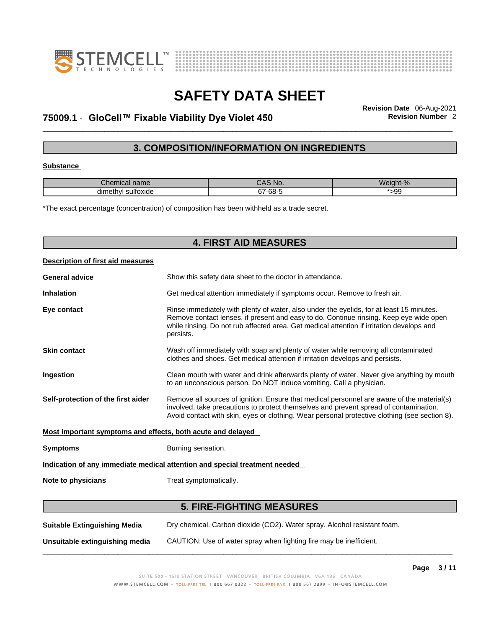



## \_\_\_\_\_\_\_\_\_\_\_\_\_\_\_\_\_\_\_\_\_\_\_\_\_\_\_\_\_\_\_\_\_\_\_\_\_\_\_\_\_\_\_\_\_\_\_\_\_\_\_\_\_\_\_\_\_\_\_\_\_\_\_\_\_\_\_\_\_\_\_\_\_\_\_\_\_\_\_\_\_\_\_\_\_\_\_\_\_\_\_\_\_ **Revision Date** 06-Aug-2021 **75009.1** - **GloCell™ Fixable Viability Dye Violet 450 Revision Number** 2

### **3. COMPOSITION/INFORMATION ON INGREDIENTS**

#### **Substance**

| Chemical name             | CAS No.          | Weight-% |
|---------------------------|------------------|----------|
| <br>dimethyl<br>sultoxide | $\sim$<br>67-68- | 99ء      |

\*The exact percentage (concentration) of composition has been withheld as a trade secret.

| <b>4. FIRST AID MEASURES</b>                                |                                                                                                                                                                                                                                                                                              |  |
|-------------------------------------------------------------|----------------------------------------------------------------------------------------------------------------------------------------------------------------------------------------------------------------------------------------------------------------------------------------------|--|
| Description of first aid measures                           |                                                                                                                                                                                                                                                                                              |  |
| <b>General advice</b>                                       | Show this safety data sheet to the doctor in attendance.                                                                                                                                                                                                                                     |  |
| <b>Inhalation</b>                                           | Get medical attention immediately if symptoms occur. Remove to fresh air.                                                                                                                                                                                                                    |  |
| Eye contact                                                 | Rinse immediately with plenty of water, also under the eyelids, for at least 15 minutes.<br>Remove contact lenses, if present and easy to do. Continue rinsing. Keep eye wide open<br>while rinsing. Do not rub affected area. Get medical attention if irritation develops and<br>persists. |  |
| <b>Skin contact</b>                                         | Wash off immediately with soap and plenty of water while removing all contaminated<br>clothes and shoes. Get medical attention if irritation develops and persists.                                                                                                                          |  |
| Ingestion                                                   | Clean mouth with water and drink afterwards plenty of water. Never give anything by mouth<br>to an unconscious person. Do NOT induce vomiting. Call a physician.                                                                                                                             |  |
| Self-protection of the first aider                          | Remove all sources of ignition. Ensure that medical personnel are aware of the material(s)<br>involved, take precautions to protect themselves and prevent spread of contamination.<br>Avoid contact with skin, eyes or clothing. Wear personal protective clothing (see section 8).         |  |
| Most important symptoms and effects, both acute and delayed |                                                                                                                                                                                                                                                                                              |  |
| <b>Symptoms</b>                                             | Burning sensation.                                                                                                                                                                                                                                                                           |  |
|                                                             | Indication of any immediate medical attention and special treatment needed                                                                                                                                                                                                                   |  |
| Note to physicians                                          | Treat symptomatically.                                                                                                                                                                                                                                                                       |  |
|                                                             | <b>5. FIRE-FIGHTING MEASURES</b>                                                                                                                                                                                                                                                             |  |
| <b>Suitable Extinguishing Media</b>                         | Dry chemical. Carbon dioxide (CO2). Water spray. Alcohol resistant foam.                                                                                                                                                                                                                     |  |

**Unsuitable extinguishing media** CAUTION: Use of water spray when fighting fire may be inefficient.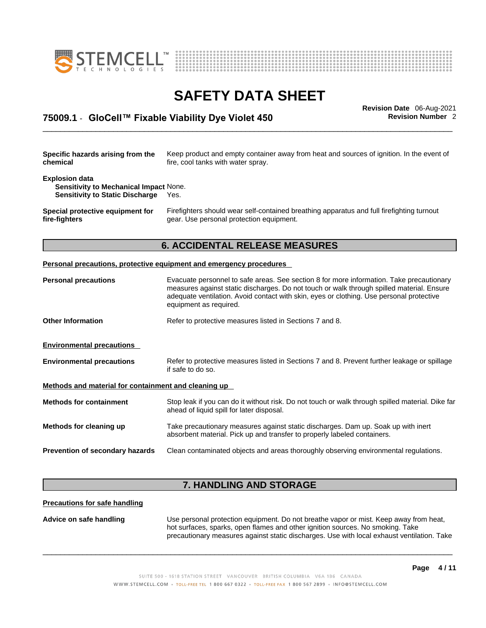



## \_\_\_\_\_\_\_\_\_\_\_\_\_\_\_\_\_\_\_\_\_\_\_\_\_\_\_\_\_\_\_\_\_\_\_\_\_\_\_\_\_\_\_\_\_\_\_\_\_\_\_\_\_\_\_\_\_\_\_\_\_\_\_\_\_\_\_\_\_\_\_\_\_\_\_\_\_\_\_\_\_\_\_\_\_\_\_\_\_\_\_\_\_ **Revision Date** 06-Aug-2021 **75009.1** - **GloCell™ Fixable Viability Dye Violet 450 Revision Number** 2

| Specific hazards arising from the<br>chemical                                                                    | Keep product and empty container away from heat and sources of ignition. In the event of<br>fire, cool tanks with water spray.        |
|------------------------------------------------------------------------------------------------------------------|---------------------------------------------------------------------------------------------------------------------------------------|
| <b>Explosion data</b><br><b>Sensitivity to Mechanical Impact None.</b><br><b>Sensitivity to Static Discharge</b> | Yes.                                                                                                                                  |
| Special protective equipment for<br>fire-fighters                                                                | Firefighters should wear self-contained breathing apparatus and full firefighting turnout<br>gear. Use personal protection equipment. |
|                                                                                                                  | <b>6. ACCIDENTAL RELEASE MEASURES</b>                                                                                                 |
|                                                                                                                  | Personal precautions, protective equipment and emergency procedures                                                                   |
| <b>Derconal procautions</b>                                                                                      | Everyote perconnel to safe areas. See section 8 for more information. Take precautionary                                              |

### **Personal precautions** Evacuate personnel to safe areas. See section 8 for more information. Take precautionary measures against static discharges. Do not touch or walk through spilled material. Ensure adequate ventilation. Avoid contact with skin, eyes or clothing. Use personal protective equipment as required. **Other Information** Refer to protective measures listed in Sections 7 and 8. **Environmental precautions Environmental precautions** Refer to protective measures listed in Sections 7 and 8. Prevent further leakage or spillage if safe to do so. **Methods and material for containment and cleaning up Methods for containment** Stop leak if you can do it without risk. Do not touch or walk through spilled material. Dike far ahead of liquid spill for later disposal. **Methods for cleaning up** Take precautionary measures against static discharges. Dam up. Soak up with inert absorbent material. Pick up and transfer to properly labeled containers. **Prevention of secondary hazards** Clean contaminated objects and areas thoroughly observing environmental regulations.

#### **7. HANDLING AND STORAGE**

#### **Precautions for safe handling**

**Advice on safe handling** Use personal protection equipment.Do not breathe vapor or mist. Keep away from heat, hot surfaces, sparks, open flames and other ignition sources. No smoking. Take precautionary measures against static discharges. Use with local exhaust ventilation. Take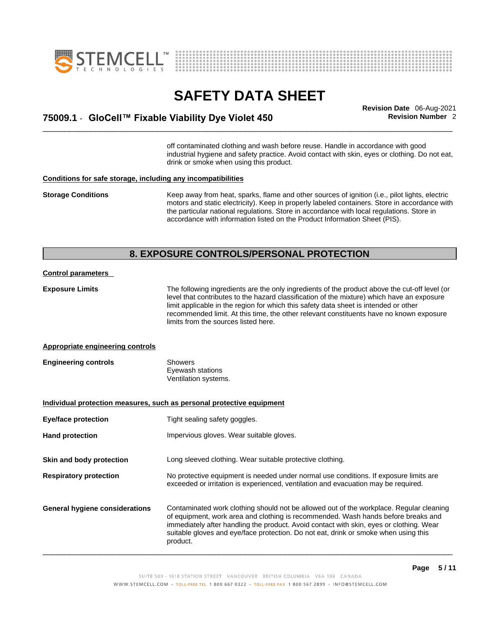



## \_\_\_\_\_\_\_\_\_\_\_\_\_\_\_\_\_\_\_\_\_\_\_\_\_\_\_\_\_\_\_\_\_\_\_\_\_\_\_\_\_\_\_\_\_\_\_\_\_\_\_\_\_\_\_\_\_\_\_\_\_\_\_\_\_\_\_\_\_\_\_\_\_\_\_\_\_\_\_\_\_\_\_\_\_\_\_\_\_\_\_\_\_ **Revision Date** 06-Aug-2021 **75009.1** - **GloCell™ Fixable Viability Dye Violet 450 Revision Number** 2

off contaminated clothing and wash before reuse. Handle in accordance with good industrial hygiene and safety practice. Avoid contact with skin, eyes or clothing. Do not eat, drink or smoke when using this product.

#### **Conditions for safe storage, including any incompatibilities**

**Storage Conditions** Keep away from heat, sparks, flame and other sources of ignition (i.e., pilot lights, electric motors and static electricity). Keep in properly labeled containers. Store in accordance with the particular national regulations. Store in accordance with local regulations. Store in accordance with information listed on the Product Information Sheet (PIS).

#### **8. EXPOSURE CONTROLS/PERSONAL PROTECTION**

#### **Control parameters**

**Exposure Limits** The following ingredients are the only ingredients of the product above the cut-off level (or level that contributes to the hazard classification of the mixture) which have an exposure limit applicable in the region for which this safety data sheet is intended or other recommended limit. At this time, the other relevant constituents have no known exposure limits from the sources listed here.

#### **Appropriate engineering controls**

| <b>Engineering controls</b> | Showers              |  |
|-----------------------------|----------------------|--|
|                             | Eyewash stations     |  |
|                             | Ventilation systems. |  |

**Individual protection measures, such as personal protective equipment Eye/face protection** Tight sealing safety goggles. Hand protection **Impervious gloves.** Wear suitable gloves. **Skin and body protection** Long sleeved clothing. Wear suitable protective clothing. **Respiratory protection** No protective equipment is needed under normal use conditions. If exposure limits are exceeded or irritation is experienced, ventilation and evacuation may be required. **General hygiene considerations** Contaminated work clothing should not be allowed outof the workplace. Regular cleaning of equipment, work area and clothing is recommended. Wash hands before breaks and immediately after handling the product. Avoid contact with skin, eyes or clothing. Wear suitable gloves and eye/face protection. Do not eat, drink or smoke when using this product.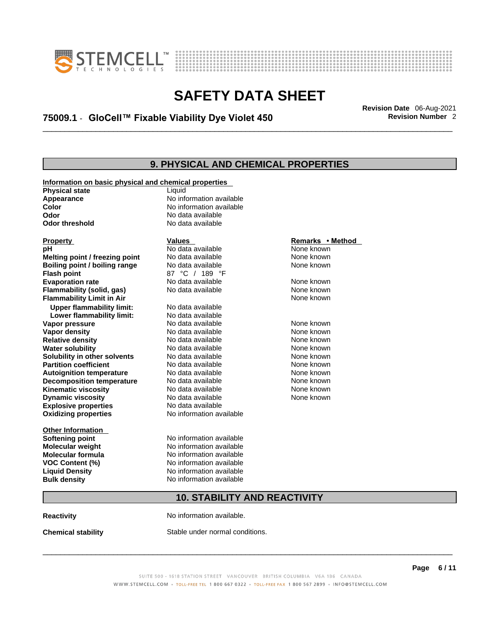



## \_\_\_\_\_\_\_\_\_\_\_\_\_\_\_\_\_\_\_\_\_\_\_\_\_\_\_\_\_\_\_\_\_\_\_\_\_\_\_\_\_\_\_\_\_\_\_\_\_\_\_\_\_\_\_\_\_\_\_\_\_\_\_\_\_\_\_\_\_\_\_\_\_\_\_\_\_\_\_\_\_\_\_\_\_\_\_\_\_\_\_\_\_ **Revision Date** 06-Aug-2021 **75009.1** - **GloCell™ Fixable Viability Dye Violet 450 Revision Number** 2

### **9. PHYSICAL AND CHEMICAL PROPERTIES**

| Information on basic physical and chemical properties<br><b>Physical state</b> | Liquid                              |                  |  |
|--------------------------------------------------------------------------------|-------------------------------------|------------------|--|
| Appearance                                                                     | No information available            |                  |  |
| Color                                                                          | No information available            |                  |  |
| Odor                                                                           | No data available                   |                  |  |
| <b>Odor threshold</b>                                                          | No data available                   |                  |  |
| <b>Property</b>                                                                | <b>Values</b>                       | Remarks • Method |  |
| рH                                                                             | No data available                   | None known       |  |
| Melting point / freezing point                                                 | No data available                   | None known       |  |
| Boiling point / boiling range                                                  | No data available                   | None known       |  |
| <b>Flash point</b>                                                             | 87 °C / 189 °F                      |                  |  |
| <b>Evaporation rate</b>                                                        | No data available                   | None known       |  |
| Flammability (solid, gas)                                                      | No data available                   | None known       |  |
| <b>Flammability Limit in Air</b>                                               |                                     | None known       |  |
| <b>Upper flammability limit:</b>                                               | No data available                   |                  |  |
| Lower flammability limit:                                                      | No data available                   |                  |  |
| Vapor pressure                                                                 | No data available                   | None known       |  |
| <b>Vapor density</b>                                                           | No data available                   | None known       |  |
| <b>Relative density</b>                                                        | No data available                   | None known       |  |
| <b>Water solubility</b>                                                        | No data available                   | None known       |  |
| Solubility in other solvents                                                   | No data available                   | None known       |  |
| <b>Partition coefficient</b>                                                   | No data available                   | None known       |  |
| <b>Autoignition temperature</b>                                                | No data available                   | None known       |  |
| <b>Decomposition temperature</b>                                               | No data available                   | None known       |  |
| <b>Kinematic viscosity</b>                                                     | No data available                   | None known       |  |
| <b>Dynamic viscosity</b>                                                       | No data available                   | None known       |  |
| <b>Explosive properties</b>                                                    | No data available                   |                  |  |
| <b>Oxidizing properties</b>                                                    | No information available            |                  |  |
| <b>Other Information</b>                                                       |                                     |                  |  |
| <b>Softening point</b>                                                         | No information available            |                  |  |
| <b>Molecular weight</b>                                                        | No information available            |                  |  |
| <b>Molecular formula</b>                                                       | No information available            |                  |  |
| <b>VOC Content (%)</b>                                                         | No information available            |                  |  |
| <b>Liquid Density</b>                                                          | No information available            |                  |  |
| <b>Bulk density</b>                                                            | No information available            |                  |  |
|                                                                                | <b>10. STABILITY AND REACTIVITY</b> |                  |  |
| <b>Reactivity</b>                                                              | No information available.           |                  |  |

**Chemical stability** Stable under normal conditions.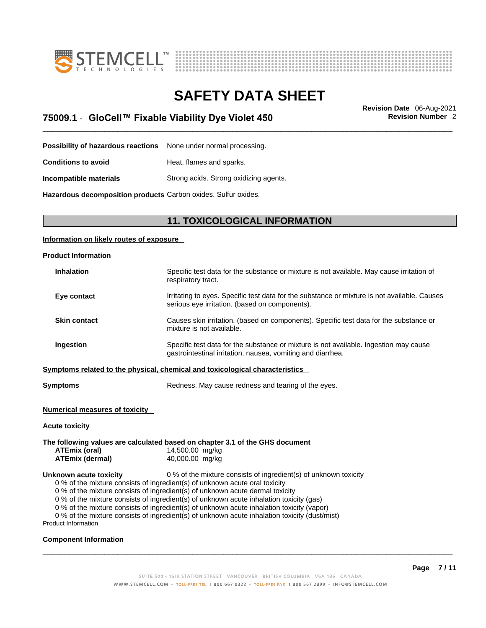



\_\_\_\_\_\_\_\_\_\_\_\_\_\_\_\_\_\_\_\_\_\_\_\_\_\_\_\_\_\_\_\_\_\_\_\_\_\_\_\_\_\_\_\_\_\_\_\_\_\_\_\_\_\_\_\_\_\_\_\_\_\_\_\_\_\_\_\_\_\_\_\_\_\_\_\_\_\_\_\_\_\_\_\_\_\_\_\_\_\_\_\_\_ **Revision Date** 06-Aug-2021 **75009.1** - **GloCell™ Fixable Viability Dye Violet 450 Revision Number** 2

**Possibility of hazardous reactions** None under normal processing.

**Conditions to avoid Heat, flames and sparks.** 

**Incompatible materials** Strong acids. Strong oxidizing agents.

**Hazardous decomposition products** Carbon oxides. Sulfur oxides.

### **11. TOXICOLOGICAL INFORMATION**

#### **Information on likely routes of exposure**

| <b>Product Information</b> |                                                                                                                                                      |
|----------------------------|------------------------------------------------------------------------------------------------------------------------------------------------------|
| <b>Inhalation</b>          | Specific test data for the substance or mixture is not available. May cause irritation of<br>respiratory tract.                                      |
| Eye contact                | Irritating to eyes. Specific test data for the substance or mixture is not available. Causes<br>serious eye irritation. (based on components).       |
| <b>Skin contact</b>        | Causes skin irritation. (based on components). Specific test data for the substance or<br>mixture is not available.                                  |
| <b>Ingestion</b>           | Specific test data for the substance or mixture is not available. Ingestion may cause<br>gastrointestinal irritation, nausea, vomiting and diarrhea. |
|                            | Symptoms related to the physical, chemical and toxicological characteristics                                                                         |
|                            |                                                                                                                                                      |

**Symptoms** Redness. May cause redness and tearing of the eyes.

#### **Numerical measures of toxicity**

#### **Acute toxicity**

**The following values are calculated based on chapter 3.1 of the GHS document ATEmix (oral)** 14,500.00 mg/kg **ATEmix (dermal)**40,000.00 mg/kg **Unknown acute toxicity** 0 % of the mixture consists of ingredient(s) of unknown toxicity 0 % of the mixture consists of ingredient(s) of unknown acute oral toxicity 0 % of the mixture consists of ingredient(s) of unknown acute dermal toxicity 0 % of the mixture consists of ingredient(s) of unknown acute inhalation toxicity (gas)

0 % of the mixture consists of ingredient(s) of unknown acute inhalation toxicity (vapor)

0 % of the mixture consists of ingredient(s) of unknown acute inhalation toxicity (dust/mist)

Product Information

#### **Component Information**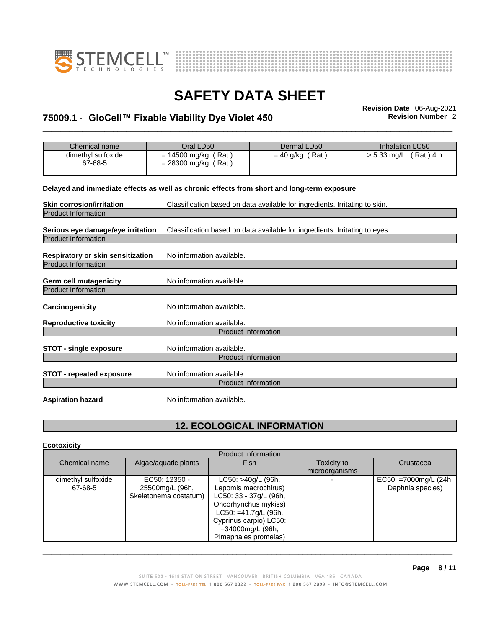



## \_\_\_\_\_\_\_\_\_\_\_\_\_\_\_\_\_\_\_\_\_\_\_\_\_\_\_\_\_\_\_\_\_\_\_\_\_\_\_\_\_\_\_\_\_\_\_\_\_\_\_\_\_\_\_\_\_\_\_\_\_\_\_\_\_\_\_\_\_\_\_\_\_\_\_\_\_\_\_\_\_\_\_\_\_\_\_\_\_\_\_\_\_ **Revision Date** 06-Aug-2021 **75009.1** - **GloCell™ Fixable Viability Dye Violet 450 Revision Number** 2

| Chemical name                                                          | Oral LD50                                      | Dermal LD50                                                                                | <b>Inhalation LC50</b>  |
|------------------------------------------------------------------------|------------------------------------------------|--------------------------------------------------------------------------------------------|-------------------------|
| dimethyl sulfoxide<br>67-68-5                                          | $= 14500$ mg/kg (Rat)<br>$= 28300$ mg/kg (Rat) | $=$ 40 g/kg (Rat)                                                                          | $> 5.33$ mg/L (Rat) 4 h |
|                                                                        |                                                | Delayed and immediate effects as well as chronic effects from short and long-term exposure |                         |
| <b>Skin corrosion/irritation</b>                                       |                                                | Classification based on data available for ingredients. Irritating to skin.                |                         |
| <b>Product Information</b>                                             |                                                |                                                                                            |                         |
| Serious eye damage/eye irritation<br><b>Product Information</b>        |                                                | Classification based on data available for ingredients. Irritating to eyes.                |                         |
| <b>Respiratory or skin sensitization</b><br><b>Product Information</b> | No information available.                      |                                                                                            |                         |
| Germ cell mutagenicity<br><b>Product Information</b>                   | No information available.                      |                                                                                            |                         |
| <b>Carcinogenicity</b>                                                 | No information available.                      |                                                                                            |                         |
| <b>Reproductive toxicity</b>                                           | No information available.                      |                                                                                            |                         |
|                                                                        | <b>Product Information</b>                     |                                                                                            |                         |
| <b>STOT - single exposure</b>                                          | No information available.                      | <b>Product Information</b>                                                                 |                         |
| <b>STOT - repeated exposure</b>                                        | No information available.                      | <b>Product Information</b>                                                                 |                         |
| <b>Aspiration hazard</b>                                               | No information available.                      |                                                                                            |                         |

### **12. ECOLOGICAL INFORMATION**

#### **Ecotoxicity**

|                    |                       | <b>Product Information</b> |                |                       |
|--------------------|-----------------------|----------------------------|----------------|-----------------------|
| Chemical name      | Algae/aquatic plants  | <b>Fish</b>                | Toxicity to    | Crustacea             |
|                    |                       |                            | microorganisms |                       |
| dimethyl sulfoxide | EC50: 12350 -         | LC50: >40g/L (96h,         |                | EC50: =7000mg/L (24h, |
| 67-68-5            | 25500mg/L (96h,       | Lepomis macrochirus)       |                | Daphnia species)      |
|                    | Skeletonema costatum) | LC50: 33 - 37g/L (96h,     |                |                       |
|                    |                       | Oncorhynchus mykiss)       |                |                       |
|                    |                       | $LC50: = 41.7g/L$ (96h,    |                |                       |
|                    |                       | Cyprinus carpio) LC50:     |                |                       |
|                    |                       | =34000mg/L (96h,           |                |                       |
|                    |                       | Pimephales promelas)       |                |                       |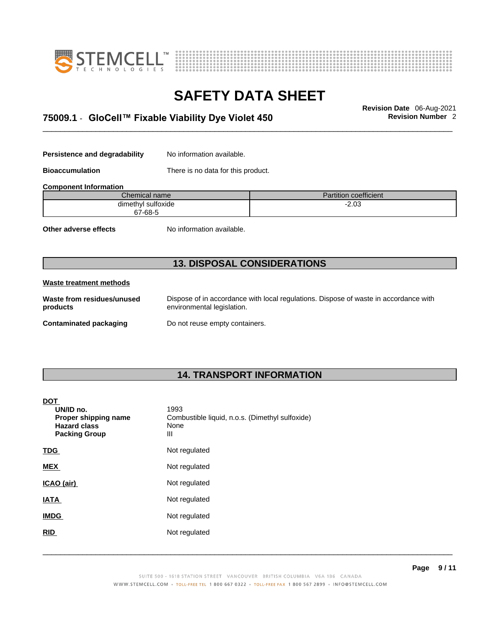



## \_\_\_\_\_\_\_\_\_\_\_\_\_\_\_\_\_\_\_\_\_\_\_\_\_\_\_\_\_\_\_\_\_\_\_\_\_\_\_\_\_\_\_\_\_\_\_\_\_\_\_\_\_\_\_\_\_\_\_\_\_\_\_\_\_\_\_\_\_\_\_\_\_\_\_\_\_\_\_\_\_\_\_\_\_\_\_\_\_\_\_\_\_ **Revision Date** 06-Aug-2021 **75009.1** - **GloCell™ Fixable Viability Dye Violet 450 Revision Number** 2

**Persistence and degradability** No information available.

**Bioaccumulation** There is no data for this product.

| <b>Component Information</b> |                              |  |
|------------------------------|------------------------------|--|
| Chemical name                | <b>Partition coefficient</b> |  |
| dimethyl sulfoxide           | -2.03                        |  |
| 67-68-5                      |                              |  |

**Other adverse effects** No information available.

### **13. DISPOSAL CONSIDERATIONS**

#### **Waste treatment methods**

**Waste from residues/unused products** 

Dispose of in accordance with local regulations. Dispose of waste in accordance with environmental legislation.

**Contaminated packaging** Do not reuse empty containers.

### **14. TRANSPORT INFORMATION**

#### **DOT**

| UN/ID no.<br>Proper shipping name<br><b>Hazard class</b><br><b>Packing Group</b> | 1993<br>Combustible liquid, n.o.s. (Dimethyl sulfoxide)<br>None<br>Ш |
|----------------------------------------------------------------------------------|----------------------------------------------------------------------|
| <b>TDG</b>                                                                       | Not regulated                                                        |
| <b>MEX</b>                                                                       | Not regulated                                                        |
| ICAO (air)                                                                       | Not regulated                                                        |
| <b>IATA</b>                                                                      | Not regulated                                                        |
| <b>IMDG</b>                                                                      | Not regulated                                                        |
| <b>RID</b>                                                                       | Not regulated                                                        |
|                                                                                  |                                                                      |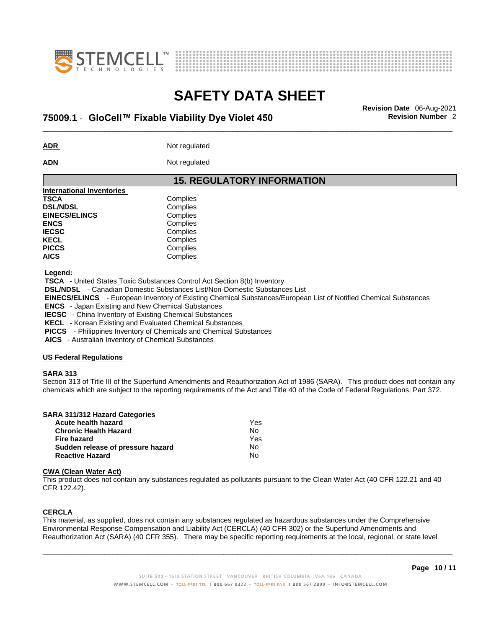



## \_\_\_\_\_\_\_\_\_\_\_\_\_\_\_\_\_\_\_\_\_\_\_\_\_\_\_\_\_\_\_\_\_\_\_\_\_\_\_\_\_\_\_\_\_\_\_\_\_\_\_\_\_\_\_\_\_\_\_\_\_\_\_\_\_\_\_\_\_\_\_\_\_\_\_\_\_\_\_\_\_\_\_\_\_\_\_\_\_\_\_\_\_ **Revision Date** 06-Aug-2021 **75009.1** - **GloCell™ Fixable Viability Dye Violet 450 Revision Number** 2

**ADR** Not regulated

**ADN** Not regulated

#### **15. REGULATORY INFORMATION International Inventories TSCA** Complies **DSL/NDSL** Complies **EINECS/ELINCS** Complies **ENCS** Complies **IECSC** Complies KECL Complies PICCS Complies **AICS** Complies

 **Legend:** 

 **TSCA** - United States Toxic Substances Control Act Section 8(b) Inventory

 **DSL/NDSL** - Canadian Domestic Substances List/Non-Domestic Substances List

 **EINECS/ELINCS** - European Inventory of Existing Chemical Substances/European List of Notified Chemical Substances

 **ENCS** - Japan Existing and New Chemical Substances

 **IECSC** - China Inventory of Existing Chemical Substances

 **KECL** - Korean Existing and Evaluated Chemical Substances

 **PICCS** - Philippines Inventory of Chemicals and Chemical Substances

 **AICS** - Australian Inventory of Chemical Substances

#### **US Federal Regulations**

#### **SARA 313**

Section 313 of Title III of the Superfund Amendments and Reauthorization Act of 1986 (SARA). This product does not contain any chemicals which are subject to the reporting requirements of the Act and Title 40 of the Code of Federal Regulations, Part 372.

| SARA 311/312 Hazard Categories    |     |  |
|-----------------------------------|-----|--|
| Acute health hazard               | Yes |  |
| <b>Chronic Health Hazard</b>      | No  |  |
| <b>Fire hazard</b>                | Yes |  |
| Sudden release of pressure hazard | No  |  |
| <b>Reactive Hazard</b>            | No  |  |

#### **CWA** (Clean Water Act)

This product does not contain any substances regulated as pollutants pursuant to the Clean Water Act (40 CFR 122.21 and 40 CFR 122.42).

#### **CERCLA**

This material, as supplied, does not contain any substances regulated as hazardous substances under the Comprehensive Environmental Response Compensation and Liability Act (CERCLA) (40 CFR 302) or the Superfund Amendments and Reauthorization Act (SARA) (40 CFR 355). There may be specific reporting requirements at the local, regional, or state level